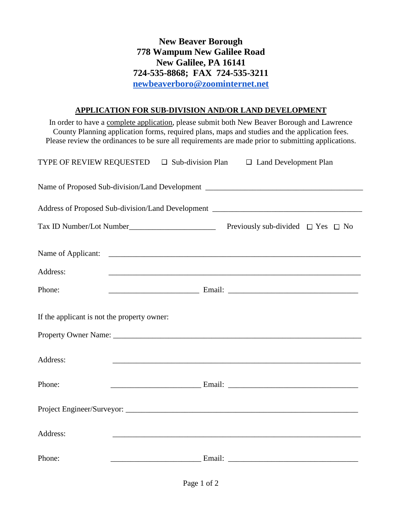**New Beaver Borough 778 Wampum New Galilee Road New Galilee, PA 16141 724-535-8868; FAX 724-535-3211 [newbeaverboro@zoominternet.net](mailto:newbeaverboro@zoominternet.net)**

## **APPLICATION FOR SUB-DIVISION AND/OR LAND DEVELOPMENT**

In order to have a complete application, please submit both New Beaver Borough and Lawrence County Planning application forms, required plans, maps and studies and the application fees. Please review the ordinances to be sure all requirements are made prior to submitting applications.

| TYPE OF REVIEW REQUESTED □ Sub-division Plan □ Land Development Plan |  |                                                                                                                      |                                             |  |  |  |
|----------------------------------------------------------------------|--|----------------------------------------------------------------------------------------------------------------------|---------------------------------------------|--|--|--|
|                                                                      |  |                                                                                                                      |                                             |  |  |  |
|                                                                      |  |                                                                                                                      |                                             |  |  |  |
|                                                                      |  |                                                                                                                      | Previously sub-divided $\Box$ Yes $\Box$ No |  |  |  |
| Name of Applicant:                                                   |  |                                                                                                                      |                                             |  |  |  |
| Address:                                                             |  |                                                                                                                      |                                             |  |  |  |
| Phone:                                                               |  |                                                                                                                      |                                             |  |  |  |
| If the applicant is not the property owner:                          |  |                                                                                                                      |                                             |  |  |  |
|                                                                      |  |                                                                                                                      |                                             |  |  |  |
| Address:                                                             |  |                                                                                                                      |                                             |  |  |  |
| Phone:                                                               |  |                                                                                                                      |                                             |  |  |  |
|                                                                      |  |                                                                                                                      |                                             |  |  |  |
| Address:                                                             |  |                                                                                                                      |                                             |  |  |  |
| Phone:                                                               |  | <u> 1980 - Johann Barn, mars ar breithinn ar breithinn ar breithinn ar breithinn ar breithinn ar breithinn ar br</u> |                                             |  |  |  |